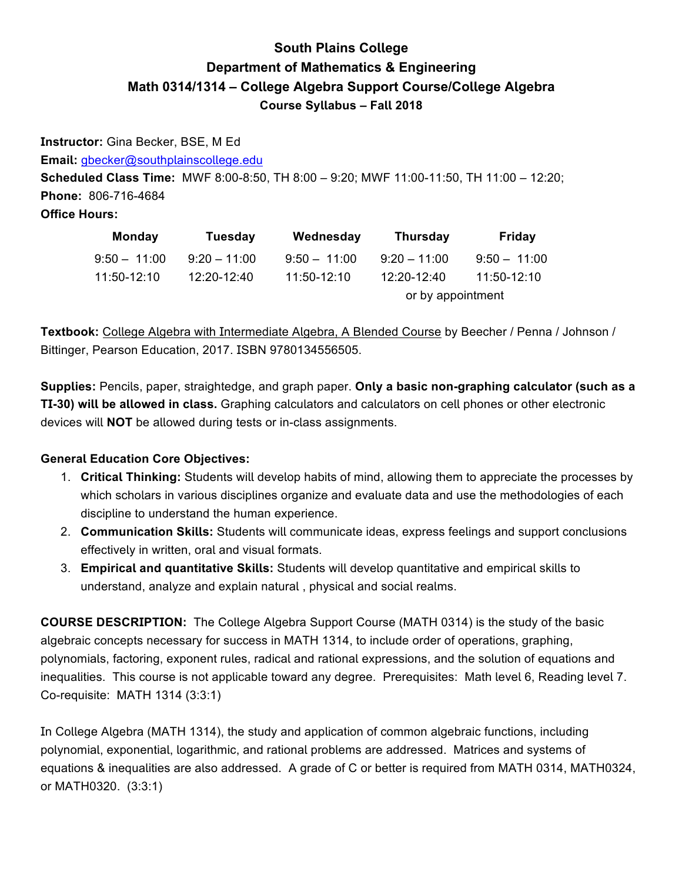# **South Plains College Department of Mathematics & Engineering** Math 0314/1314 - College Algebra Support Course/College Algebra **Course Syllabus - Fall 2018**

Instructor: Gina Becker, BSE, M Ed Email: gbecker@southplainscollege.edu Scheduled Class Time: MWF 8:00-8:50, TH 8:00 - 9:20; MWF 11:00-11:50, TH 11:00 - 12:20; Phone: 806-716-4684 **Office Hours:** 

| <b>Monday</b>  | Tuesday        | Wednesday      | Thursday          | Friday         |  |
|----------------|----------------|----------------|-------------------|----------------|--|
| $9:50 - 11:00$ | $9:20 - 11:00$ | $9:50 - 11:00$ | $9:20 - 11:00$    | $9:50 - 11:00$ |  |
| 11:50-12:10    | $12:20-12:40$  | $11:50-12:10$  | $12:20-12:40$     | 11:50-12:10    |  |
|                |                |                | or by appointment |                |  |

Textbook: College Algebra with Intermediate Algebra, A Blended Course by Beecher / Penna / Johnson / Bittinger, Pearson Education, 2017. ISBN 9780134556505.

Supplies: Pencils, paper, straightedge, and graph paper. Only a basic non-graphing calculator (such as a TI-30) will be allowed in class. Graphing calculators and calculators on cell phones or other electronic devices will NOT be allowed during tests or in-class assignments.

### **General Education Core Objectives:**

- 1. Critical Thinking: Students will develop habits of mind, allowing them to appreciate the processes by which scholars in various disciplines organize and evaluate data and use the methodologies of each discipline to understand the human experience.
- 2. Communication Skills: Students will communicate ideas, express feelings and support conclusions effectively in written, oral and visual formats.
- 3. Empirical and quantitative Skills: Students will develop quantitative and empirical skills to understand, analyze and explain natural, physical and social realms.

**COURSE DESCRIPTION:** The College Algebra Support Course (MATH 0314) is the study of the basic algebraic concepts necessary for success in MATH 1314, to include order of operations, graphing, polynomials, factoring, exponent rules, radical and rational expressions, and the solution of equations and inequalities. This course is not applicable toward any degree. Prerequisites: Math level 6, Reading level 7. Co-requisite: MATH 1314 (3:3:1)

In College Algebra (MATH 1314), the study and application of common algebraic functions, including polynomial, exponential, logarithmic, and rational problems are addressed. Matrices and systems of equations & inequalities are also addressed. A grade of C or better is required from MATH 0314, MATH0324, or MATH0320. (3:3:1)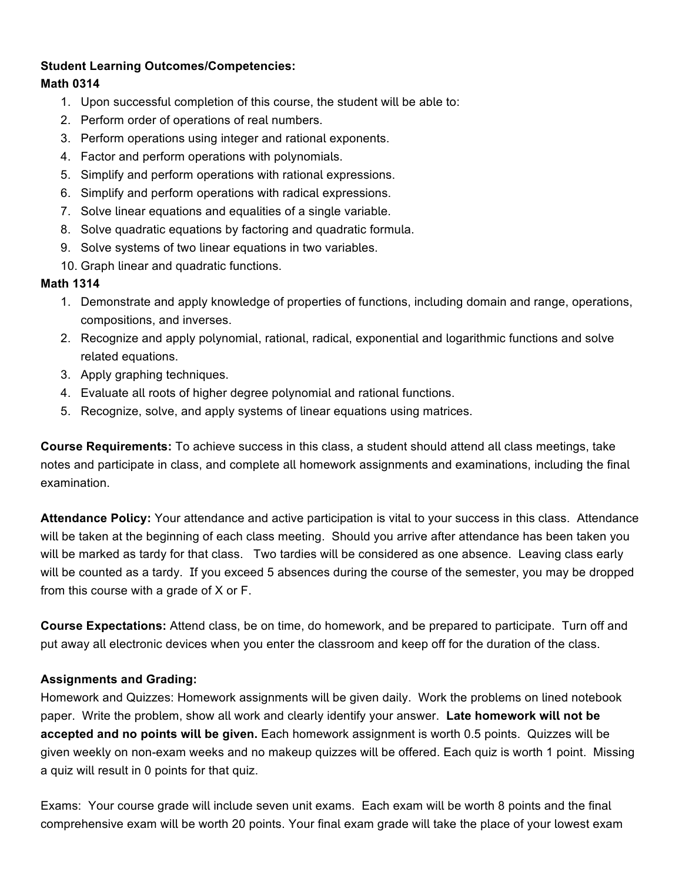#### **Student Learning Outcomes/Competencies:**

#### **Math 0314**

- 1. Upon successful completion of this course, the student will be able to:
- 2. Perform order of operations of real numbers.
- 3. Perform operations using integer and rational exponents.
- 4. Factor and perform operations with polynomials.
- 5. Simplify and perform operations with rational expressions.
- 6. Simplify and perform operations with radical expressions.
- 7. Solve linear equations and equalities of a single variable.
- 8. Solve quadratic equations by factoring and quadratic formula.
- 9. Solve systems of two linear equations in two variables.
- 10. Graph linear and quadratic functions.

#### **Math 1314**

- 1. Demonstrate and apply knowledge of properties of functions, including domain and range, operations, compositions, and inverses.
- 2. Recognize and apply polynomial, rational, radical, exponential and logarithmic functions and solve related equations.
- 3. Apply graphing techniques.
- 4. Evaluate all roots of higher degree polynomial and rational functions.
- 5. Recognize, solve, and apply systems of linear equations using matrices.

**Course Requirements:** To achieve success in this class, a student should attend all class meetings, take notes and participate in class, and complete all homework assignments and examinations, including the final examination.

**Attendance Policy:** Your attendance and active participation is vital to your success in this class. Attendance will be taken at the beginning of each class meeting. Should you arrive after attendance has been taken you will be marked as tardy for that class. Two tardies will be considered as one absence. Leaving class early will be counted as a tardy. If you exceed 5 absences during the course of the semester, you may be dropped from this course with a grade of X or F.

**Course Expectations:** Attend class, be on time, do homework, and be prepared to participate. Turn off and put away all electronic devices when you enter the classroom and keep off for the duration of the class.

#### **Assignments and Grading:**

Homework and Quizzes: Homework assignments will be given daily. Work the problems on lined notebook paper. Write the problem, show all work and clearly identify your answer. Late homework will not be **accepted and no points will be given.** Each homework assignment is worth 0.5 points. Quizzes will be given weekly on non-exam weeks and no makeup quizzes will be offered. Each quiz is worth 1 point. Missing a quiz will result in 0 points for that quiz.

Exams: Your course grade will include seven unit exams. Each exam will be worth 8 points and the final comprehensive exam will be worth 20 points. Your final exam grade will take the place of your lowest exam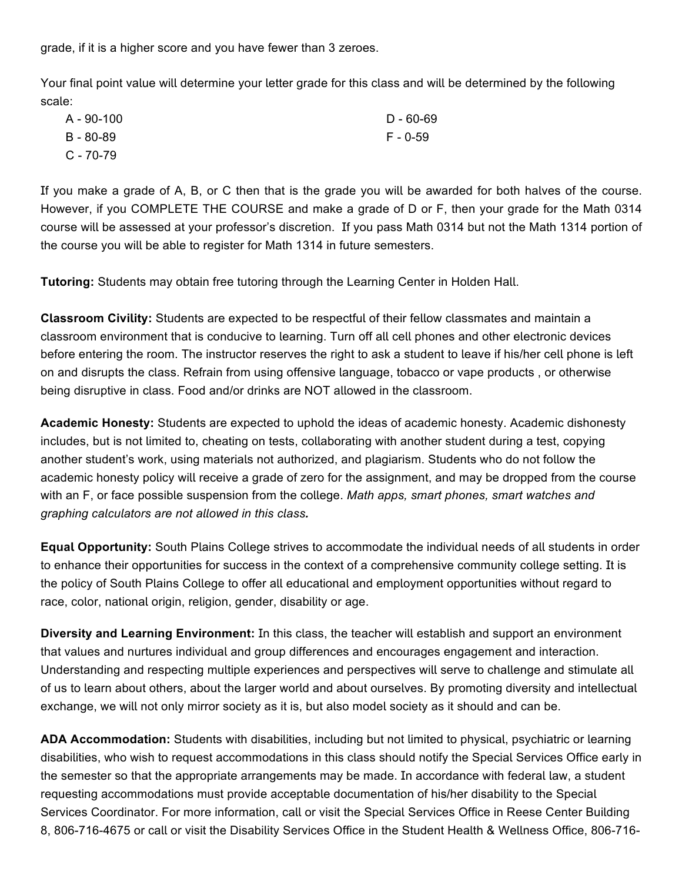grade, if it is a higher score and you have fewer than 3 zeroes.

Your final point value will determine your letter grade for this class and will be determined by the following scale:

| A - 90-100    | $D - 60 - 69$ |
|---------------|---------------|
| $B - 80 - 89$ | F - 0-59      |
| $C - 70-79$   |               |

If you make a grade of A, B, or C then that is the grade you will be awarded for both halves of the course. However, if you COMPLETE THE COURSE and make a grade of D or F, then your grade for the Math 0314 course will be assessed at your professor's discretion. If you pass Math 0314 but not the Math 1314 portion of the course you will be able to register for Math 1314 in future semesters.

**Tutoring:** Students may obtain free tutoring through the Learning Center in Holden Hall.

**Classroom Civility:** Students are expected to be respectful of their fellow classmates and maintain a classroom environment that is conducive to learning. Turn off all cell phones and other electronic devices before entering the room. The instructor reserves the right to ask a student to leave if his/her cell phone is left on and disrupts the class. Refrain from using offensive language, tobacco or vape products, or otherwise being disruptive in class. Food and/or drinks are NOT allowed in the classroom.

**Academic Honesty:** Students are expected to uphold the ideas of academic honesty. Academic dishonesty includes, but is not limited to, cheating on tests, collaborating with another student during a test, copying another student's work, using materials not authorized, and plagiarism. Students who do not follow the academic honesty policy will receive a grade of zero for the assignment, and may be dropped from the course with an F, or face possible suspension from the college. *Math apps, smart phones, smart watches and graphing calculators are not allowed in this class.* 

**Equal Opportunity:** South Plains College strives to accommodate the individual needs of all students in order to enhance their opportunities for success in the context of a comprehensive community college setting. It is the policy of South Plains College to offer all educational and employment opportunities without regard to race, color, national origin, religion, gender, disability or age.

**Diversity and Learning Environment:** In this class, the teacher will establish and support an environment that values and nurtures individual and group differences and encourages engagement and interaction. Understanding and respecting multiple experiences and perspectives will serve to challenge and stimulate all of us to learn about others, about the larger world and about ourselves. By promoting diversity and intellectual exchange, we will not only mirror society as it is, but also model society as it should and can be.

**ADA Accommodation:** Students with disabilities, including but not limited to physical, psychiatric or learning disabilities, who wish to request accommodations in this class should notify the Special Services Office early in the semester so that the appropriate arrangements may be made. In accordance with federal law, a student requesting accommodations must provide acceptable documentation of his/her disability to the Special Services Coordinator. For more information, call or visit the Special Services Office in Reese Center Building 8, 806-716-4675 or call or visit the Disability Services Office in the Student Health & Wellness Office, 806-716-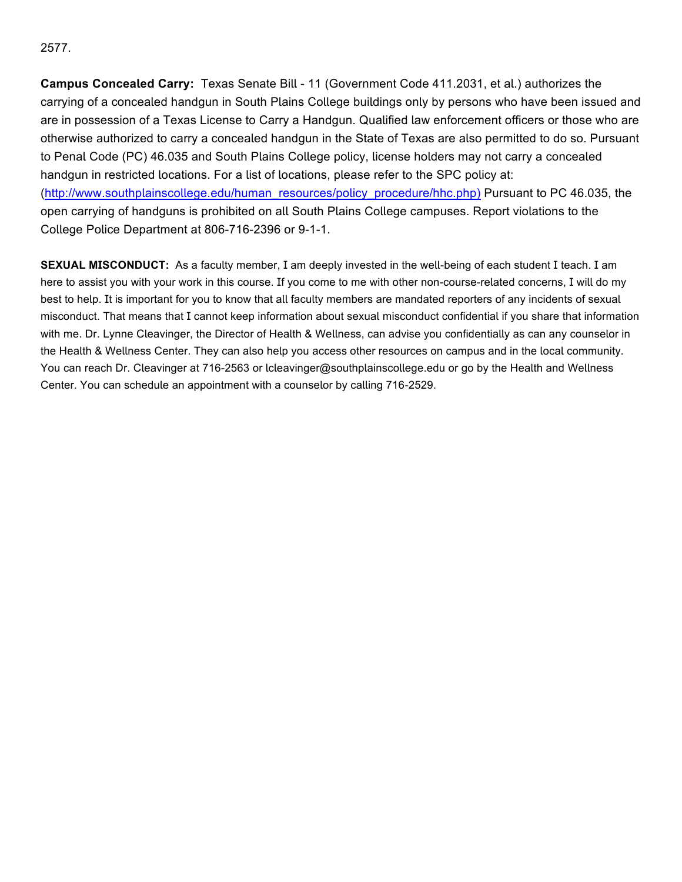#### 2577.

**Campus Concealed Carry:** Texas Senate Bill - 11 (Government Code 411.2031, et al.) authorizes the carrying of a concealed handgun in South Plains College buildings only by persons who have been issued and are in possession of a Texas License to Carry a Handgun. Qualified law enforcement officers or those who are otherwise authorized to carry a concealed handgun in the State of Texas are also permitted to do so. Pursuant to Penal Code (PC) 46.035 and South Plains College policy, license holders may not carry a concealed handgun in restricted locations. For a list of locations, please refer to the SPC policy at: (http://www.southplainscollege.edu/human\_resources/policy\_procedure/hhc.php) Pursuant to PC 46.035, the open carrying of handguns is prohibited on all South Plains College campuses. Report violations to the College Police Department at 806-716-2396 or 9-1-1.

**SEXUAL MISCONDUCT:** As a faculty member, I am deeply invested in the well-being of each student I teach. I am here to assist you with your work in this course. If you come to me with other non-course-related concerns, I will do my best to help. It is important for you to know that all faculty members are mandated reporters of any incidents of sexual misconduct. That means that I cannot keep information about sexual misconduct confidential if you share that information with me. Dr. Lynne Cleavinger, the Director of Health & Wellness, can advise you confidentially as can any counselor in the Health & Wellness Center. They can also help you access other resources on campus and in the local community. You can reach Dr. Cleavinger at 716-2563 or Icleavinger@southplainscollege.edu or go by the Health and Wellness Center. You can schedule an appointment with a counselor by calling 716-2529.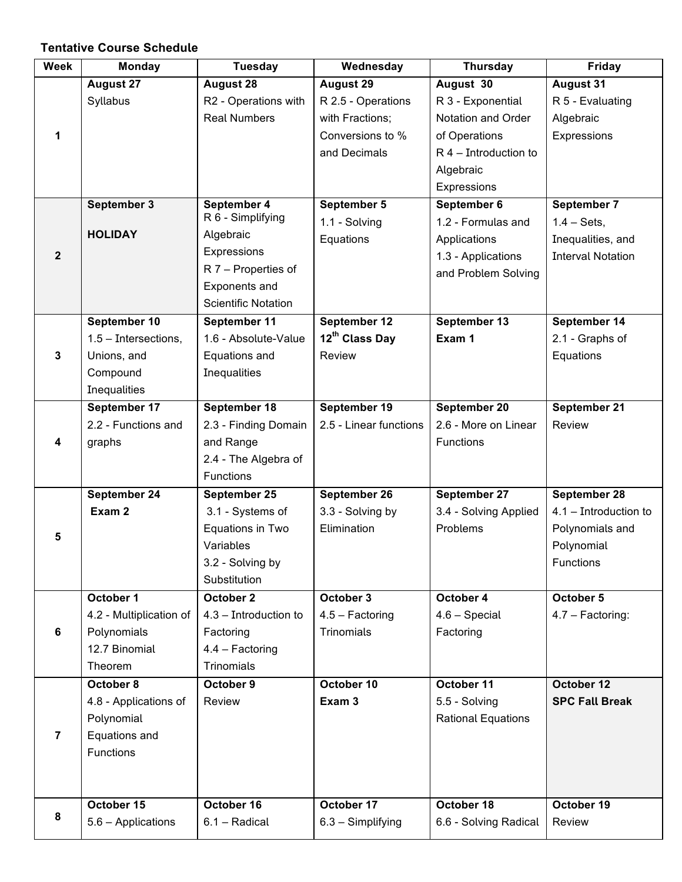## **Tentative Course Schedule**

| <b>Week</b>    | <b>Monday</b>           | <b>Tuesday</b>             | Wednesday                  | <b>Thursday</b>           | Friday                   |
|----------------|-------------------------|----------------------------|----------------------------|---------------------------|--------------------------|
|                | <b>August 27</b>        | <b>August 28</b>           | <b>August 29</b>           | August 30                 | <b>August 31</b>         |
|                | Syllabus                | R2 - Operations with       | R 2.5 - Operations         | R 3 - Exponential         | R 5 - Evaluating         |
|                |                         | <b>Real Numbers</b>        | with Fractions;            | Notation and Order        | Algebraic                |
| 1              |                         |                            | Conversions to %           | of Operations             | Expressions              |
|                |                         |                            | and Decimals               | $R$ 4 – Introduction to   |                          |
|                |                         |                            |                            | Algebraic                 |                          |
|                |                         |                            |                            | Expressions               |                          |
|                | September 3             | September 4                | September 5                | September 6               | September 7              |
|                |                         | R 6 - Simplifying          | 1.1 - Solving              | 1.2 - Formulas and        | $1.4 - Sets$ ,           |
|                | <b>HOLIDAY</b>          | Algebraic                  | Equations                  | Applications              | Inequalities, and        |
| $\overline{2}$ |                         | Expressions                |                            | 1.3 - Applications        | <b>Interval Notation</b> |
|                |                         | R 7 - Properties of        |                            | and Problem Solving       |                          |
|                |                         | Exponents and              |                            |                           |                          |
|                |                         | <b>Scientific Notation</b> |                            |                           |                          |
|                | September 10            | September 11               | September 12               | September 13              | September 14             |
|                | $1.5$ – Intersections,  | 1.6 - Absolute-Value       | 12 <sup>th</sup> Class Day | Exam 1                    | 2.1 - Graphs of          |
| 3              | Unions, and             | Equations and              | Review                     |                           | Equations                |
|                | Compound                | Inequalities               |                            |                           |                          |
|                | Inequalities            |                            |                            |                           |                          |
|                | September 17            | September 18               | September 19               | September 20              | September 21             |
|                | 2.2 - Functions and     | 2.3 - Finding Domain       | 2.5 - Linear functions     | 2.6 - More on Linear      | Review                   |
| 4              | graphs                  | and Range                  |                            | <b>Functions</b>          |                          |
|                |                         | 2.4 - The Algebra of       |                            |                           |                          |
|                |                         | Functions                  |                            |                           |                          |
|                | September 24            | September 25               | September 26               | September 27              | September 28             |
|                | Exam 2                  | 3.1 - Systems of           | 3.3 - Solving by           | 3.4 - Solving Applied     | $4.1 - Introduction to$  |
|                |                         | Equations in Two           | Elimination                | Problems                  | Polynomials and          |
| 5              |                         | Variables                  |                            |                           | Polynomial               |
|                |                         | 3.2 - Solving by           |                            |                           | <b>Functions</b>         |
|                |                         | Substitution               |                            |                           |                          |
|                | October 1               | October 2                  | October 3                  | October 4                 | October 5                |
|                | 4.2 - Multiplication of | 4.3 - Introduction to      | $4.5 - Factoring$          | $4.6 - Special$           | 4.7 - Factoring:         |
| 6              | Polynomials             | Factoring                  | Trinomials                 | Factoring                 |                          |
|                | 12.7 Binomial           | 4.4 - Factoring            |                            |                           |                          |
|                | Theorem                 | Trinomials                 |                            |                           |                          |
|                | October 8               | October 9                  | October 10                 | October 11                | October 12               |
|                | 4.8 - Applications of   | Review                     | Exam 3                     | 5.5 - Solving             | <b>SPC Fall Break</b>    |
|                | Polynomial              |                            |                            | <b>Rational Equations</b> |                          |
| $\overline{7}$ | Equations and           |                            |                            |                           |                          |
|                | Functions               |                            |                            |                           |                          |
|                |                         |                            |                            |                           |                          |
|                |                         |                            |                            |                           |                          |
|                | October 15              | October 16                 | October 17                 | October 18                | October 19               |
| 8              | 5.6 - Applications      | 6.1 - Radical              | $6.3 -$ Simplifying        | 6.6 - Solving Radical     | Review                   |
|                |                         |                            |                            |                           |                          |